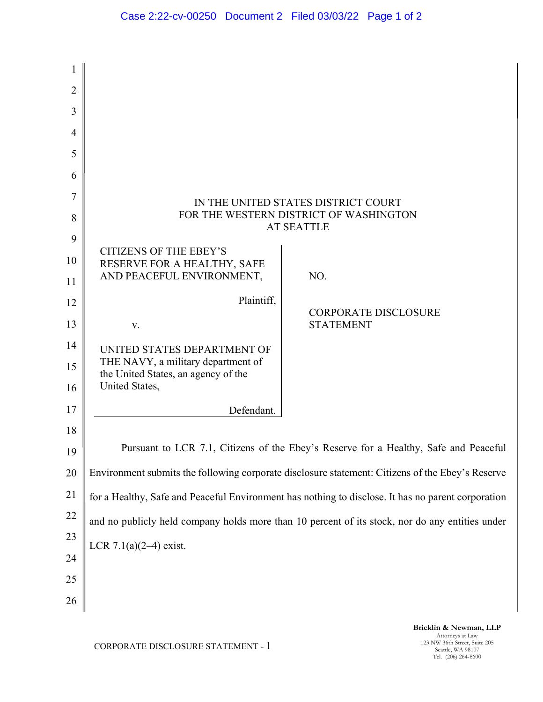| 1              |                                                                                                    |                                                 |
|----------------|----------------------------------------------------------------------------------------------------|-------------------------------------------------|
| $\overline{2}$ |                                                                                                    |                                                 |
| 3              |                                                                                                    |                                                 |
| 4              |                                                                                                    |                                                 |
| 5              |                                                                                                    |                                                 |
| 6              |                                                                                                    |                                                 |
| 7              |                                                                                                    | IN THE UNITED STATES DISTRICT COURT             |
| 8              | FOR THE WESTERN DISTRICT OF WASHINGTON<br><b>AT SEATTLE</b>                                        |                                                 |
| 9              |                                                                                                    |                                                 |
| 10             | <b>CITIZENS OF THE EBEY'S</b><br>RESERVE FOR A HEALTHY, SAFE                                       |                                                 |
| 11             | AND PEACEFUL ENVIRONMENT,                                                                          | NO.                                             |
| 12             | Plaintiff,                                                                                         |                                                 |
| 13             | V.                                                                                                 | <b>CORPORATE DISCLOSURE</b><br><b>STATEMENT</b> |
| 14             | UNITED STATES DEPARTMENT OF                                                                        |                                                 |
| 15             | THE NAVY, a military department of<br>the United States, an agency of the                          |                                                 |
| 16             | United States,                                                                                     |                                                 |
| 17             | Defendant.                                                                                         |                                                 |
| 18             |                                                                                                    |                                                 |
| 19             | Pursuant to LCR 7.1, Citizens of the Ebey's Reserve for a Healthy, Safe and Peaceful               |                                                 |
| 20             | Environment submits the following corporate disclosure statement: Citizens of the Ebey's Reserve   |                                                 |
| 21             | for a Healthy, Safe and Peaceful Environment has nothing to disclose. It has no parent corporation |                                                 |
| 22             | and no publicly held company holds more than 10 percent of its stock, nor do any entities under    |                                                 |
| 23             | LCR $7.1(a)(2-4)$ exist.                                                                           |                                                 |
| 24             |                                                                                                    |                                                 |
| 25             |                                                                                                    |                                                 |
| 26             |                                                                                                    |                                                 |